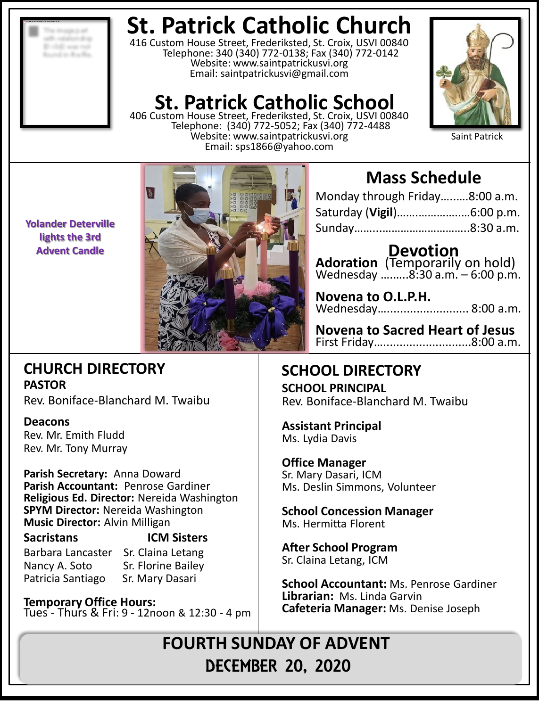**Charles** 

# **St. Patrick Catholic Church**

416 Custom House Street, Frederiksted, St. Croix, USVI 00840 Telephone: 340 (340) 772-0138; Fax (340) 772-0142 Website: www.saintpatrickusvi.org Email: saintpatrickusvi@gmail.com

# **St. Patrick Catholic School**

406 Custom House Street, Frederiksted, St. Croix, USVI 00840 Telephone: (340) 772-5052; Fax (340) 772-4488 Website: www.saintpatrickusvi.org Email: sps1866@yahoo.com



Saint Patrick

**Yolander Deterville lights the 3rd Advent Candle**

# **CHURCH DIRECTORY PASTOR**

Rev. Boniface-Blanchard M. Twaibu

# **Deacons**

Rev. Mr. Emith Fludd Rev. Mr. Tony Murray

**Parish Secretary:** Anna Doward **Parish Accountant:** Penrose Gardiner **Religious Ed. Director:** Nereida Washington **SPYM Director:** Nereida Washington **Music Director:** Alvin Milligan

# **Sacristans ICM Sisters**

Barbara Lancaster Sr. Claina Letang Nancy A. Soto Sr. Florine Bailey Patricia Santiago Sr. Mary Dasari

**Temporary Office Hours:**  Tues - Thurs & Fri: 9 - 12noon & 12:30 - 4 pm

# **Mass Schedule**

| Monday through Friday8:00 a.m. |  |
|--------------------------------|--|
|                                |  |
|                                |  |

**Devotion Adoration** (Temporarily on hold) Wednesday ….…..8:30 a.m. – 6:00 p.m.

**Novena to O.L.P.H.** Wednesday…......................... 8:00 a.m.

**Novena to Sacred Heart of Jesus** First Friday…...........................8:00 a.m.

# **SCHOOL DIRECTORY**

**SCHOOL PRINCIPAL** Rev. Boniface-Blanchard M. Twaibu

**Assistant Principal** Ms. Lydia Davis

**Office Manager** Sr. Mary Dasari, ICM Ms. Deslin Simmons, Volunteer

**School Concession Manager** Ms. Hermitta Florent

**After School Program** Sr. Claina Letang, ICM

**School Accountant:** Ms. Penrose Gardiner **Librarian:** Ms. Linda Garvin **Cafeteria Manager:** Ms. Denise Joseph

**FOURTH SUNDAY OF ADVENT** DECEMBER 20, 2020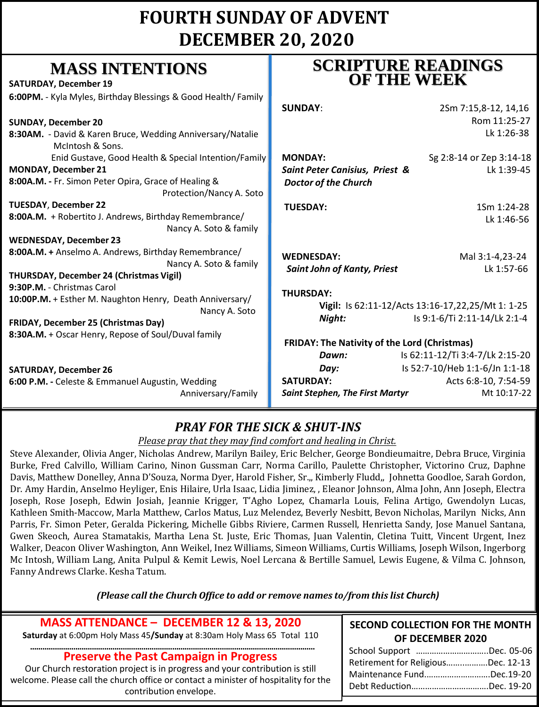# **FOURTH SUNDAY OF ADVENT DECEMBER 20, 2020**

# **MASS INTENTIONS**

| <b>SATURDAY, December 19</b>                                                     | UF LIID WDDA                                        |                                                   |
|----------------------------------------------------------------------------------|-----------------------------------------------------|---------------------------------------------------|
| 6:00PM. - Kyla Myles, Birthday Blessings & Good Health/ Family                   | <b>SUNDAY:</b>                                      | 2Sm 7:15,8-12, 14,16                              |
| <b>SUNDAY, December 20</b>                                                       |                                                     | Rom 11:25-27                                      |
| 8:30AM. - David & Karen Bruce, Wedding Anniversary/Natalie<br>McIntosh & Sons.   |                                                     | Lk 1:26-38                                        |
| Enid Gustave, Good Health & Special Intention/Family                             | <b>MONDAY:</b>                                      | Sg 2:8-14 or Zep 3:14-18                          |
| <b>MONDAY, December 21</b>                                                       | Saint Peter Canisius, Priest &                      | Lk 1:39-45                                        |
| 8:00A.M. - Fr. Simon Peter Opira, Grace of Healing &<br>Protection/Nancy A. Soto | <b>Doctor of the Church</b>                         |                                                   |
| <b>TUESDAY, December 22</b>                                                      | <b>TUESDAY:</b>                                     | 1Sm 1:24-28                                       |
| 8:00A.M. + Robertito J. Andrews, Birthday Remembrance/<br>Nancy A. Soto & family |                                                     | Lk 1:46-56                                        |
| <b>WEDNESDAY, December 23</b>                                                    |                                                     |                                                   |
| 8:00A.M. + Anselmo A. Andrews, Birthday Remembrance/<br>Nancy A. Soto & family   | <b>WEDNESDAY:</b>                                   | Mal 3:1-4,23-24                                   |
| <b>THURSDAY, December 24 (Christmas Vigil)</b>                                   | <b>Saint John of Kanty, Priest</b>                  | Lk 1:57-66                                        |
| 9:30P.M. - Christmas Carol                                                       | <b>THURSDAY:</b>                                    |                                                   |
| 10:00P.M. + Esther M. Naughton Henry, Death Anniversary/<br>Nancy A. Soto        |                                                     | Vigil: Is 62:11-12/Acts 13:16-17,22,25/Mt 1: 1-25 |
| FRIDAY, December 25 (Christmas Day)                                              | Night:                                              | Is 9:1-6/Ti 2:11-14/Lk 2:1-4                      |
| 8:30A.M. + Oscar Henry, Repose of Soul/Duval family                              | <b>FRIDAY: The Nativity of the Lord (Christmas)</b> |                                                   |
|                                                                                  | Dawn:                                               | Is 62:11-12/Ti 3:4-7/Lk 2:15-20                   |
|                                                                                  |                                                     |                                                   |

## **SATURDAY, December 26 6:00 P.M. - Celeste & Emmanuel August**

# **SCRIPTURE READINGS OF THE WEEK**

| SCRIPTURE READINGS |  |
|--------------------|--|
| <b>OF THE WEEK</b> |  |
|                    |  |

|                                            |                                                               | Rom 11:25-27                    |
|--------------------------------------------|---------------------------------------------------------------|---------------------------------|
| ng Anniversary/Natalie                     |                                                               | Lk 1:26-38                      |
| Special Intention/Family                   | <b>MONDAY:</b>                                                | Sg 2:8-14 or Zep 3:14-18        |
| of Healing &<br>rotection/Nancy A. Soto    | Saint Peter Canisius, Priest &<br><b>Doctor of the Church</b> | Lk 1:39-45                      |
|                                            | <b>TUESDAY:</b>                                               | 1Sm 1:24-28                     |
| day Remembrance/<br>Nancy A. Soto & family |                                                               | Lk 1:46-56                      |
| ay Remembrance/                            | <b>WEDNESDAY:</b>                                             | Mal 3:1-4,23-24                 |
| Nancy A. Soto & family<br>igil)            | <b>Saint John of Kanty, Priest</b>                            | Lk 1:57-66                      |
|                                            | <b>THURSDAY:</b>                                              |                                 |
| , Death Anniversary/<br>Nancy A. Soto      | Vigil: Is 62:11-12/Acts 13:16-17,22,25/Mt 1: 1-25             |                                 |
|                                            | Night:                                                        | Is 9:1-6/Ti 2:11-14/Lk 2:1-4    |
| /Duval family                              | FRIDAY: The Nativity of the Lord (Christmas)                  |                                 |
|                                            | Dawn:                                                         | Is 62:11-12/Ti 3:4-7/Lk 2:15-20 |
|                                            | Day:                                                          | Is 52:7-10/Heb 1:1-6/Jn 1:1-18  |
| in, Wedding                                | <b>SATURDAY:</b>                                              | Acts 6:8-10, 7:54-59            |
| Anniversary/Family                         | <b>Saint Stephen, The First Martyr</b>                        | Mt 10:17-22                     |
|                                            |                                                               |                                 |

# *PRAY FOR THE SICK & SHUT-INS*

*Please pray that they may find comfort and healing in Christ.*

Steve Alexander, Olivia Anger, Nicholas Andrew, Marilyn Bailey, Eric Belcher, George Bondieumaitre, Debra Bruce, Virginia Burke, Fred Calvillo, William Carino, Ninon Gussman Carr, Norma Carillo, Paulette Christopher, Victorino Cruz, Daphne Davis, Matthew Donelley, Anna D'Souza, Norma Dyer, Harold Fisher, Sr.,, Kimberly Fludd,, Johnetta Goodloe, Sarah Gordon, Dr. Amy Hardin, Anselmo Heyliger, Enis Hilaire, Urla Isaac, Lidia Jiminez, , Eleanor Johnson, Alma John, Ann Joseph, Electra Joseph, Rose Joseph, Edwin Josiah, Jeannie Krigger, T'Agho Lopez, Chamarla Louis, Felina Artigo, Gwendolyn Lucas, Kathleen Smith-Maccow, Marla Matthew, Carlos Matus, Luz Melendez, Beverly Nesbitt, Bevon Nicholas, Marilyn Nicks, Ann Parris, Fr. Simon Peter, Geralda Pickering, Michelle Gibbs Riviere, Carmen Russell, Henrietta Sandy, Jose Manuel Santana, Gwen Skeoch, Aurea Stamatakis, Martha Lena St. Juste, Eric Thomas, Juan Valentin, Cletina Tuitt, Vincent Urgent, Inez Walker, Deacon Oliver Washington, Ann Weikel, Inez Williams, Simeon Williams, Curtis Williams, Joseph Wilson, Ingerborg Mc Intosh, William Lang, Anita Pulpul & Kemit Lewis, Noel Lercana & Bertille Samuel, Lewis Eugene, & Vilma C. Johnson, Fanny Andrews Clarke. Kesha Tatum.

*(Please call the Church Office to add or remove names to/from this list Church)*

## **MASS ATTENDANCE – DECEMBER 12 & 13, 2020**

**Saturday** at 6:00pm Holy Mass 45**/Sunday** at 8:30am Holy Mass 65 Total 110

#### **………………………………………………………………………………………………………………………… Preserve the Past Campaign in Progress**

Our Church restoration project is in progress and your contribution is still welcome. Please call the church office or contact a minister of hospitality for the contribution envelope.

#### **SECOND COLLECTION FOR THE MONTH OF DECEMBER 2020**

| School Support Dec. 05-06          |
|------------------------------------|
| Retirement for ReligiousDec. 12-13 |
| Maintenance FundDec.19-20          |
| Debt ReductionDec. 19-20           |
|                                    |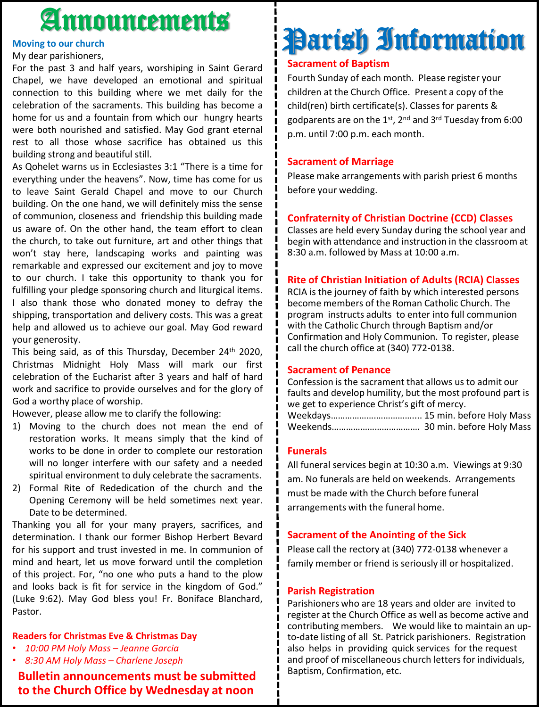# Announcements

#### **Moving to our church**

My dear parishioners,

For the past 3 and half years, worshiping in Saint Gerard Chapel, we have developed an emotional and spiritual connection to this building where we met daily for the celebration of the sacraments. This building has become a home for us and a fountain from which our hungry hearts were both nourished and satisfied. May God grant eternal rest to all those whose sacrifice has obtained us this building strong and beautiful still.

As Qohelet warns us in Ecclesiastes 3:1 "There is a time for everything under the heavens". Now, time has come for us to leave Saint Gerald Chapel and move to our Church building. On the one hand, we will definitely miss the sense of communion, closeness and friendship this building made us aware of. On the other hand, the team effort to clean the church, to take out furniture, art and other things that won't stay here, landscaping works and painting was remarkable and expressed our excitement and joy to move to our church. I take this opportunity to thank you for fulfilling your pledge sponsoring church and liturgical items. I also thank those who donated money to defray the shipping, transportation and delivery costs. This was a great help and allowed us to achieve our goal. May God reward your generosity.

This being said, as of this Thursday, December 24<sup>th</sup> 2020, Christmas Midnight Holy Mass will mark our first celebration of the Eucharist after 3 years and half of hard work and sacrifice to provide ourselves and for the glory of God a worthy place of worship.

However, please allow me to clarify the following:

- 1) Moving to the church does not mean the end of restoration works. It means simply that the kind of works to be done in order to complete our restoration will no longer interfere with our safety and a needed spiritual environment to duly celebrate the sacraments.
- 2) Formal Rite of Rededication of the church and the Opening Ceremony will be held sometimes next year. Date to be determined.

Thanking you all for your many prayers, sacrifices, and determination. I thank our former Bishop Herbert Bevard for his support and trust invested in me. In communion of mind and heart, let us move forward until the completion of this project. For, "no one who puts a hand to the plow and looks back is fit for service in the kingdom of God." (Luke 9:62). May God bless you! Fr. Boniface Blanchard, Pastor.

#### **Readers for Christmas Eve & Christmas Day**

- *10:00 PM Holy Mass – Jeanne Garcia*
- *8:30 AM Holy Mass – Charlene Joseph*

## **Bulletin announcements must be submitted to the Church Office by Wednesday at noon**

# Parish Information

### **Sacrament of Baptism**

Fourth Sunday of each month. Please register your children at the Church Office. Present a copy of the child(ren) birth certificate(s). Classes for parents & godparents are on the 1st, 2<sup>nd</sup> and 3<sup>rd</sup> Tuesday from 6:00 p.m. until 7:00 p.m. each month.

### **Sacrament of Marriage**

Please make arrangements with parish priest 6 months before your wedding.

## **Confraternity of Christian Doctrine (CCD) Classes**

Classes are held every Sunday during the school year and begin with attendance and instruction in the classroom at 8:30 a.m. followed by Mass at 10:00 a.m.

## **Rite of Christian Initiation of Adults (RCIA) Classes**

RCIA is the journey of faith by which interested persons become members of the Roman Catholic Church. The program instructs adults to enter into full communion with the Catholic Church through Baptism and/or Confirmation and Holy Communion. To register, please call the church office at (340) 772-0138.

#### **Sacrament of Penance**

Confession is the sacrament that allows us to admit our faults and develop humility, but the most profound part is we get to experience Christ's gift of mercy. Weekdays……………….…………….... 15 min. before Holy Mass Weekends………………………………. 30 min. before Holy Mass

#### **Funerals**

All funeral services begin at 10:30 a.m. Viewings at 9:30 am. No funerals are held on weekends. Arrangements must be made with the Church before funeral arrangements with the funeral home.

#### **Sacrament of the Anointing of the Sick**

Please call the rectory at (340) 772-0138 whenever a family member or friend is seriously ill or hospitalized.

#### **Parish Registration**

Parishioners who are 18 years and older are invited to register at the Church Office as well as become active and contributing members. We would like to maintain an upto-date listing of all St. Patrick parishioners. Registration also helps in providing quick services for the request and proof of miscellaneous church letters for individuals, Baptism, Confirmation, etc.